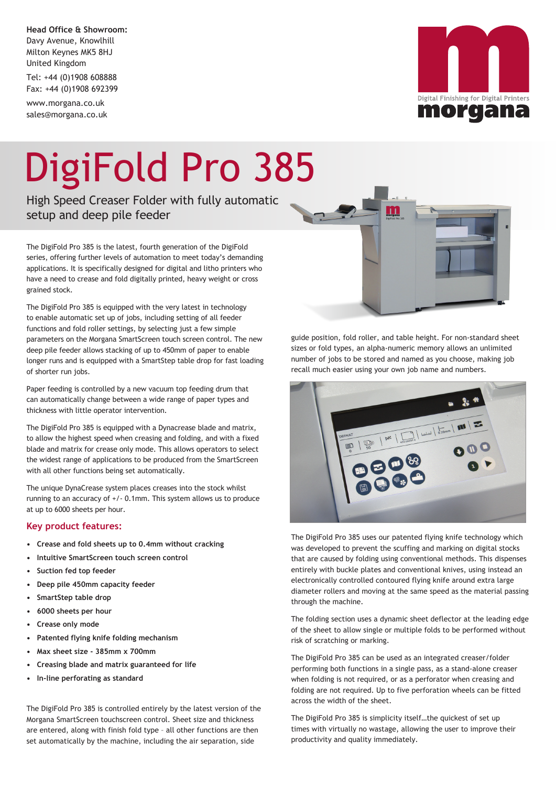**Head Office & Showroom:** Davy Avenue, Knowlhill Milton Keynes MK5 8HJ United Kingdom

Tel: +44 (0)1908 608888 Fax: +44 (0)1908 692399

www.morgana.co.uk sales@morgana.co.uk



## DigiFold Pro 385

High Speed Creaser Folder with fully automatic setup and deep pile feeder

The DigiFold Pro 385 is the latest, fourth generation of the DigiFold series, offering further levels of automation to meet today's demanding applications. It is specifically designed for digital and litho printers who have a need to crease and fold digitally printed, heavy weight or cross grained stock.

The DigiFold Pro 385 is equipped with the very latest in technology to enable automatic set up of jobs, including setting of all feeder functions and fold roller settings, by selecting just a few simple parameters on the Morgana SmartScreen touch screen control. The new deep pile feeder allows stacking of up to 450mm of paper to enable longer runs and is equipped with a SmartStep table drop for fast loading of shorter run jobs.

Paper feeding is controlled by a new vacuum top feeding drum that can automatically change between a wide range of paper types and thickness with little operator intervention.

The DigiFold Pro 385 is equipped with a Dynacrease blade and matrix, to allow the highest speed when creasing and folding, and with a fixed blade and matrix for crease only mode. This allows operators to select the widest range of applications to be produced from the SmartScreen with all other functions being set automatically.

The unique DynaCrease system places creases into the stock whilst running to an accuracy of +/- 0.1mm. This system allows us to produce at up to 6000 sheets per hour.

## **Key product features:**

- **• Crease and fold sheets up to 0.4mm without cracking**
- **• Intuitive SmartScreen touch screen control**
- **• Suction fed top feeder**
- **• Deep pile 450mm capacity feeder**
- **• SmartStep table drop**
- **• 6000 sheets per hour**
- **• Crease only mode**
- **• Patented flying knife folding mechanism**
- **• Max sheet size 385mm x 700mm**
- **• Creasing blade and matrix guaranteed for life**
- **• In-line perforating as standard**

The DigiFold Pro 385 is controlled entirely by the latest version of the Morgana SmartScreen touchscreen control. Sheet size and thickness are entered, along with finish fold type – all other functions are then set automatically by the machine, including the air separation, side

guide position, fold roller, and table height. For non-standard sheet sizes or fold types, an alpha-numeric memory allows an unlimited number of jobs to be stored and named as you choose, making job recall much easier using your own job name and numbers.



The DigiFold Pro 385 uses our patented flying knife technology which was developed to prevent the scuffing and marking on digital stocks that are caused by folding using conventional methods. This dispenses entirely with buckle plates and conventional knives, using instead an electronically controlled contoured flying knife around extra large diameter rollers and moving at the same speed as the material passing through the machine.

The folding section uses a dynamic sheet deflector at the leading edge of the sheet to allow single or multiple folds to be performed without risk of scratching or marking.

The DigiFold Pro 385 can be used as an integrated creaser/folder performing both functions in a single pass, as a stand-alone creaser when folding is not required, or as a perforator when creasing and folding are not required. Up to five perforation wheels can be fitted across the width of the sheet.

The DigiFold Pro 385 is simplicity itself…the quickest of set up times with virtually no wastage, allowing the user to improve their productivity and quality immediately.